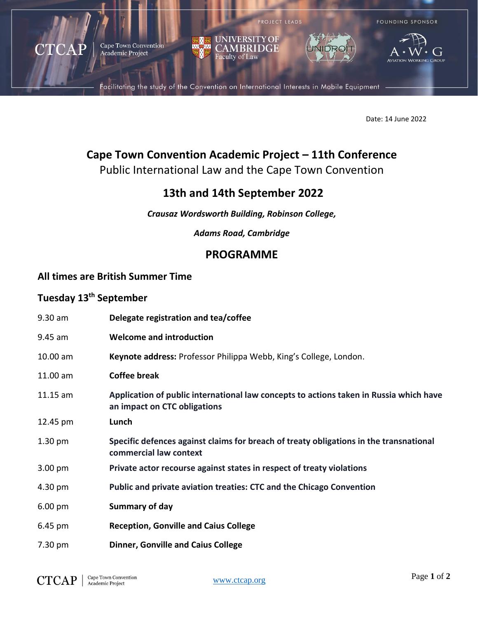

Date: 14 June 2022

# **Cape Town Convention Academic Project – 11th Conference**

Public International Law and the Cape Town Convention

## **13th and 14th September 2022**

*Crausaz Wordsworth Building, Robinson College,* 

*Adams Road, Cambridge*

## **PROGRAMME**

#### **All times are British Summer Time**

### **Tuesday 13th September**

| $9.30$ am         | Delegate registration and tea/coffee                                                                                   |
|-------------------|------------------------------------------------------------------------------------------------------------------------|
| 9.45 am           | <b>Welcome and introduction</b>                                                                                        |
| 10.00 am          | Keynote address: Professor Philippa Webb, King's College, London.                                                      |
| 11.00 am          | <b>Coffee break</b>                                                                                                    |
| $11.15$ am        | Application of public international law concepts to actions taken in Russia which have<br>an impact on CTC obligations |
| 12.45 pm          | Lunch                                                                                                                  |
| $1.30 \text{ pm}$ | Specific defences against claims for breach of treaty obligations in the transnational<br>commercial law context       |
| 3.00 pm           | Private actor recourse against states in respect of treaty violations                                                  |
| 4.30 pm           | Public and private aviation treaties: CTC and the Chicago Convention                                                   |
| $6.00 \text{ pm}$ | Summary of day                                                                                                         |
| $6.45 \text{ pm}$ | <b>Reception, Gonville and Caius College</b>                                                                           |
|                   |                                                                                                                        |